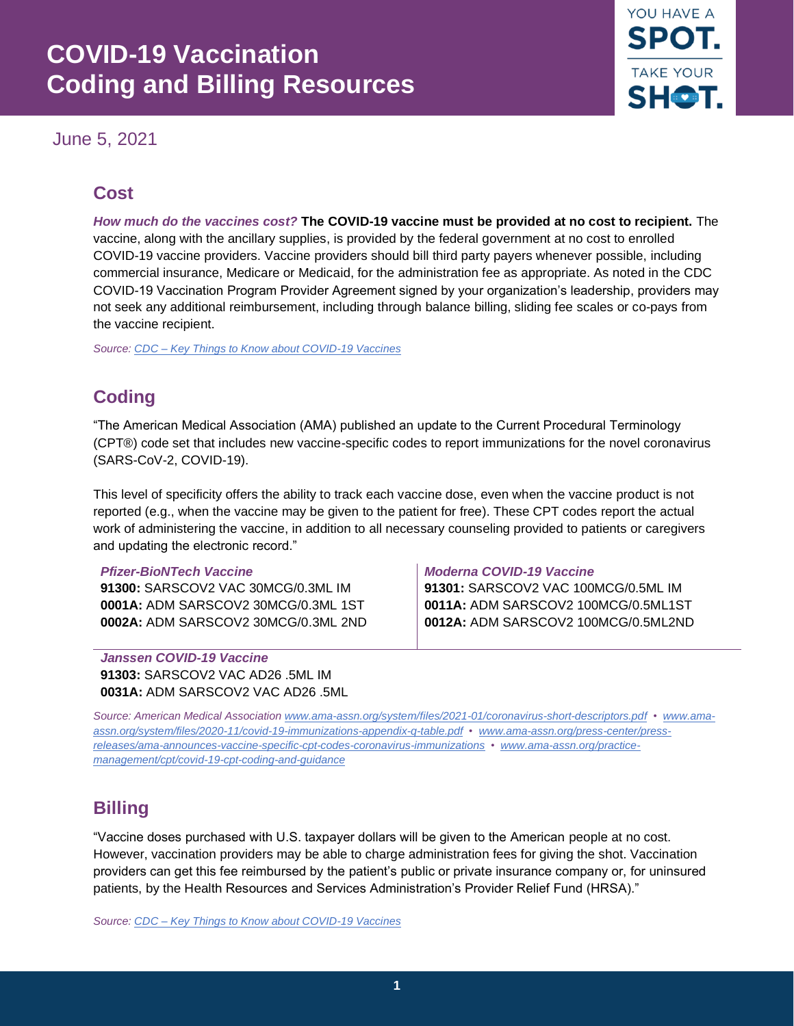# **COVID-19 Vaccination Coding and Billing Resources**

June 5, 2021



### **Cost**

*How much do the vaccines cost?* **The COVID-19 vaccine must be provided at no cost to recipient.** The vaccine, along with the ancillary supplies, is provided by the federal government at no cost to enrolled COVID-19 vaccine providers. Vaccine providers should bill third party payers whenever possible, including commercial insurance, Medicare or Medicaid, for the administration fee as appropriate. As noted in the CDC COVID-19 Vaccination Program Provider Agreement signed by your organization's leadership, providers may not seek any additional reimbursement, including through balance billing, sliding fee scales or co-pays from the vaccine recipient.

*Source[: CDC – Key Things to Know about COVID-19 Vaccines](https://www.cdc.gov/coronavirus/2019-ncov/vaccines/keythingstoknow.html?CDC_AA_refVal=https%3A%2F%2Fwww.cdc.gov%2Fcoronavirus%2F2019-ncov%2Fvaccines%2F8-things.html)* 

### **Coding**

"The American Medical Association (AMA) published an update to the Current Procedural Terminology (CPT®) code set that includes new vaccine-specific codes to report immunizations for the novel coronavirus (SARS-CoV-2, COVID-19).

This level of specificity offers the ability to track each vaccine dose, even when the vaccine product is not reported (e.g., when the vaccine may be given to the patient for free). These CPT codes report the actual work of administering the vaccine, in addition to all necessary counseling provided to patients or caregivers and updating the electronic record."

**91300:** SARSCOV2 VAC 30MCG/0.3ML IM **91301:** SARSCOV2 VAC 100MCG/0.5ML IM

*Janssen COVID-19 Vaccine*  **91303:** SARSCOV2 VAC AD26 .5ML IM **0031A:** ADM SARSCOV2 VAC AD26 .5ML

#### *Pfizer-BioNTech Vaccine Moderna COVID-19 Vaccine*

**0001A:** ADM SARSCOV2 30MCG/0.3ML 1ST **0011A:** ADM SARSCOV2 100MCG/0.5ML1ST **0002A:** ADM SARSCOV2 30MCG/0.3ML 2ND **0012A:** ADM SARSCOV2 100MCG/0.5ML2ND

*Source: American Medical Associatio[n www.ama-assn.org/system/files/2021-01/coronavirus-short-descriptors.pdf](https://www.ama-assn.org/system/files/2021-01/coronavirus-short-descriptors.pdf) • [www.ama](https://www.ama-assn.org/system/files/2020-11/covid-19-immunizations-appendix-q-table.pdf)[assn.org/system/files/2020-11/covid-19-immunizations-appendix-q-table.pdf •](https://www.ama-assn.org/system/files/2020-11/covid-19-immunizations-appendix-q-table.pdf) [www.ama-assn.org/press-center/press](https://www.ama-assn.org/press-center/press-releases/ama-announces-vaccine-specific-cpt-codes-coronavirus-immunizations)[releases/ama-announces-vaccine-specific-cpt-codes-coronavirus-immunizations](https://www.ama-assn.org/press-center/press-releases/ama-announces-vaccine-specific-cpt-codes-coronavirus-immunizations) • [www.ama-assn.org/practice](https://www.ama-assn.org/practice-management/cpt/covid-19-cpt-coding-and-guidance)[management/cpt/covid-19-cpt-coding-and-guidance](https://www.ama-assn.org/practice-management/cpt/covid-19-cpt-coding-and-guidance)*

### **Billing**

"Vaccine doses purchased with U.S. taxpayer dollars will be given to the American people at no cost. However, vaccination providers may be able to charge administration fees for giving the shot. Vaccination providers can get this fee reimbursed by the patient's public or private insurance company or, for uninsured patients, by the Health Resources and Services Administration's Provider Relief Fund (HRSA)."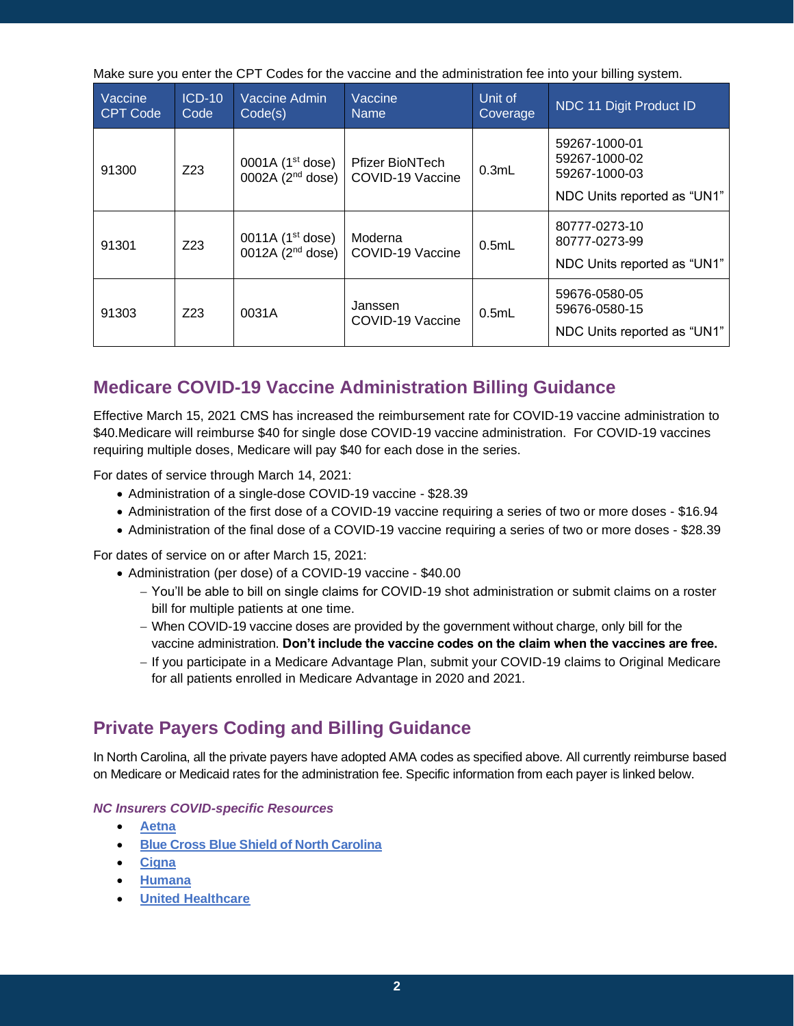Make sure you enter the CPT Codes for the vaccine and the administration fee into your billing system.

| Vaccine<br><b>CPT Code</b> | $ICD-10$<br>Code | Vaccine Admin<br>Code(s)                    | Vaccine<br><b>Name</b>                     | Unit of<br>Coverage | NDC 11 Digit Product ID                                                        |
|----------------------------|------------------|---------------------------------------------|--------------------------------------------|---------------------|--------------------------------------------------------------------------------|
| 91300                      | Z <sub>23</sub>  | 0001A $(1^{st}$ dose)<br>0002A $(2nd$ dose) | <b>Pfizer BioNTech</b><br>COVID-19 Vaccine | 0.3mL               | 59267-1000-01<br>59267-1000-02<br>59267-1000-03<br>NDC Units reported as "UN1" |
| 91301                      | Z <sub>23</sub>  | 0011A $(1^{st}$ dose)<br>0012A $(2nd$ dose) | Moderna<br>COVID-19 Vaccine                | 0.5mL               | 80777-0273-10<br>80777-0273-99<br>NDC Units reported as "UN1"                  |
| 91303                      | Z <sub>23</sub>  | 0031A                                       | Janssen<br>COVID-19 Vaccine                | 0.5mL               | 59676-0580-05<br>59676-0580-15<br>NDC Units reported as "UN1"                  |

### **Medicare COVID-19 Vaccine Administration Billing Guidance**

Effective March 15, 2021 CMS has increased the reimbursement rate for COVID-19 vaccine administration to \$40.Medicare will reimburse \$40 for single dose COVID-19 vaccine administration. For COVID-19 vaccines requiring multiple doses, Medicare will pay \$40 for each dose in the series.

For dates of service through March 14, 2021:

- Administration of a single-dose COVID-19 vaccine \$28.39
- Administration of the first dose of a COVID-19 vaccine requiring a series of two or more doses \$16.94
- Administration of the final dose of a COVID-19 vaccine requiring a series of two or more doses \$28.39

For dates of service on or after March 15, 2021:

- Administration (per dose) of a COVID-19 vaccine \$40.00
	- − You'll be able to bill on single claims for COVID-19 shot administration or submit claims on a roster bill for multiple patients at one time.
	- − When COVID-19 vaccine doses are provided by the government without charge, only bill for the vaccine administration. **Don't include the vaccine codes on the claim when the vaccines are free.**
	- − If you participate in a Medicare Advantage Plan, submit your COVID-19 claims to Original Medicare for all patients enrolled in Medicare Advantage in 2020 and 2021.

### **Private Payers Coding and Billing Guidance**

In North Carolina, all the private payers have adopted AMA codes as specified above. All currently reimburse based on Medicare or Medicaid rates for the administration fee. Specific information from each payer is linked below.

### *NC Insurers COVID-specific Resources*

- **[Aetna](https://www.aetna.com/health-care-professionals/covid-faq/billing-and-coding.html)**
- **[Blue Cross Blue Shield of North Carolina](https://www.bluecrossnc.com/provider-news/covid-19-vaccine-information)**
- **[Cigna](https://static.cigna.com/assets/chcp/resourceLibrary/medicalResourcesList/medicalDoingBusinessWithCigna/medicalDbwcCOVID-19.html)**
- **[Humana](https://www.humana.com/provider/coronavirus)**
- **[United Healthcare](https://www.uhcprovider.com/en/resource-library/news/Novel-Coronavirus-COVID-19/covid19-vaccines/vaccine-billing-reimbursement.html)**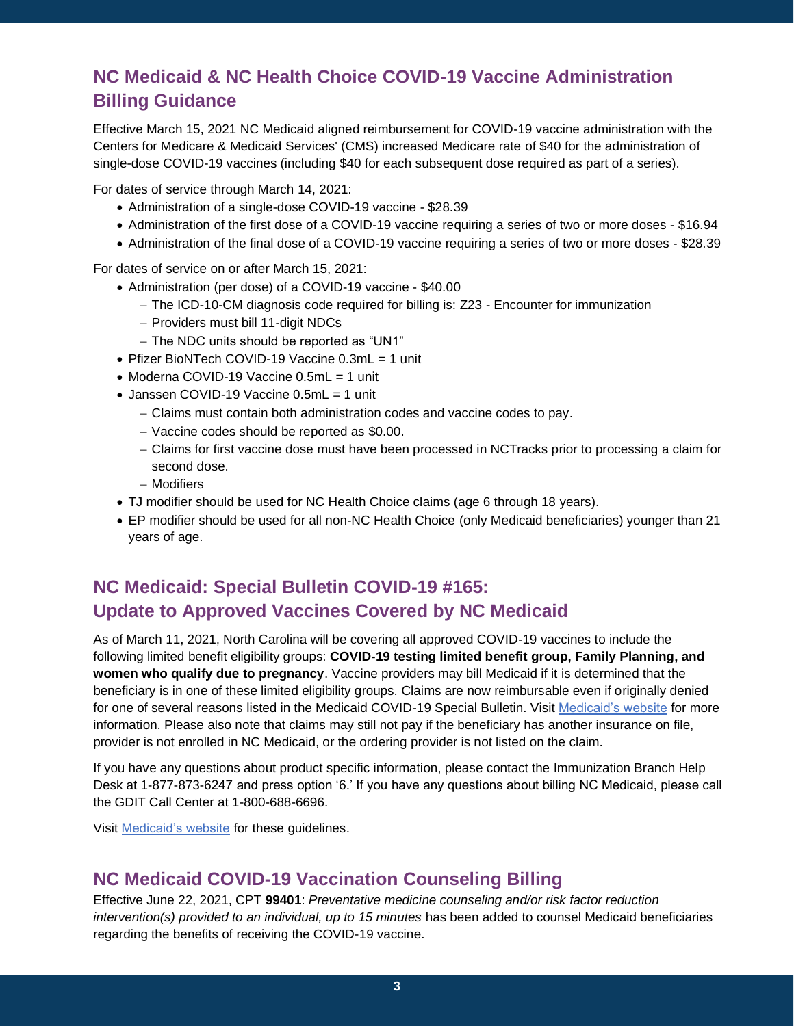## **NC Medicaid & NC Health Choice COVID-19 Vaccine Administration Billing Guidance**

Effective March 15, 2021 NC Medicaid aligned reimbursement for COVID-19 vaccine administration with the Centers for Medicare & Medicaid Services' (CMS) increased Medicare rate of \$40 for the administration of single-dose COVID-19 vaccines (including \$40 for each subsequent dose required as part of a series).

For dates of service through March 14, 2021:

- Administration of a single-dose COVID-19 vaccine \$28.39
- Administration of the first dose of a COVID-19 vaccine requiring a series of two or more doses \$16.94
- Administration of the final dose of a COVID-19 vaccine requiring a series of two or more doses \$28.39

For dates of service on or after March 15, 2021:

- Administration (per dose) of a COVID-19 vaccine \$40.00
	- − The ICD-10-CM diagnosis code required for billing is: Z23 Encounter for immunization
	- − Providers must bill 11-digit NDCs
	- − The NDC units should be reported as "UN1"
- Pfizer BioNTech COVID-19 Vaccine 0.3mL = 1 unit
- Moderna COVID-19 Vaccine 0.5mL = 1 unit
- Janssen COVID-19 Vaccine 0.5mL = 1 unit
	- − Claims must contain both administration codes and vaccine codes to pay.
	- − Vaccine codes should be reported as \$0.00.
	- − Claims for first vaccine dose must have been processed in NCTracks prior to processing a claim for second dose.
	- − Modifiers
- TJ modifier should be used for NC Health Choice claims (age 6 through 18 years).
- EP modifier should be used for all non-NC Health Choice (only Medicaid beneficiaries) younger than 21 years of age.

### **NC Medicaid: Special Bulletin COVID-19 #165: Update to Approved Vaccines Covered by NC Medicaid**

As of March 11, 2021, North Carolina will be covering all approved COVID-19 vaccines to include the following limited benefit eligibility groups: **COVID-19 testing limited benefit group, Family Planning, and women who qualify due to pregnancy**. Vaccine providers may bill Medicaid if it is determined that the beneficiary is in one of these limited eligibility groups. Claims are now reimbursable even if originally denied for one of several reasons listed in the Medicaid COVID-19 Special Bulletin. Visit [Medicaid's website](https://medicaid.ncdhhs.gov/blog/2021/05/06/special-bulletin-covid-19-165-update-approved-vaccines-covered-nc-medicaid) for more information. Please also note that claims may still not pay if the beneficiary has another insurance on file, provider is not enrolled in NC Medicaid, or the ordering provider is not listed on the claim.

If you have any questions about product specific information, please contact the Immunization Branch Help Desk at 1-877-873-6247 and press option '6.' If you have any questions about billing NC Medicaid, please call the GDIT Call Center at 1-800-688-6696.

Visi[t Medicaid's website](https://medicaid.ncdhhs.gov/providers/medicaid-bulletin) for these guidelines.

### **NC Medicaid COVID-19 Vaccination Counseling Billing**

Effective June 22, 2021, CPT **99401**: *Preventative medicine counseling and/or risk factor reduction intervention(s) provided to an individual, up to 15 minutes* has been added to counsel Medicaid beneficiaries regarding the benefits of receiving the COVID-19 vaccine.